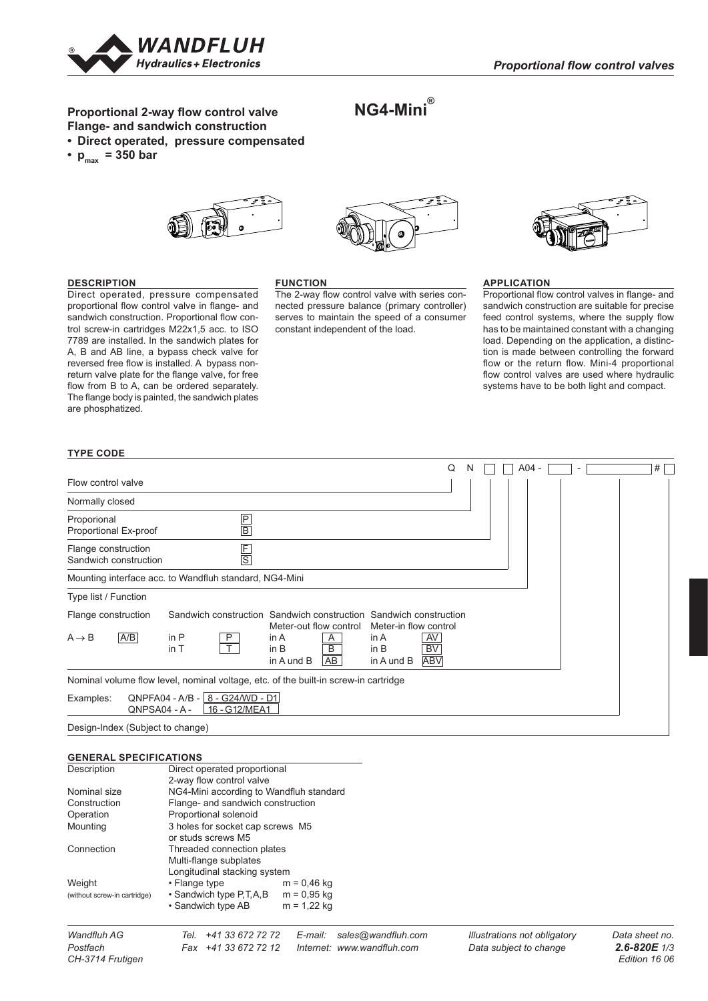

# **Proportional 2-way flow control valve** A **Flange- and sandwich construction**

- **• Direct operated, pressure compensated**
- $p_{max}$  = 350 bar





**NG4-Mini®**



## **DESCRIPTION**

Direct operated, pressure compensated proportional flow control valve in flange- and C sandwich construction. Proportional flow control screw-in cartridges M22x1,5 acc. to ISO 7789 are installed. In the sandwich plates for A, B and AB line, a bypass check valve for reversed free flow is installed. A bypass nonreturn valve plate for the flange valve, for free flow from B to A, can be ordered separately. The flange body is painted, the sandwich plates D are phosphatized.

#### **FUNCTION**

The 2-way flow control valve with series connected pressure balance (primary controller) serves to maintain the speed of a consumer constant independent of the load.

# **APPLICATION**

Proportional flow control valves in flange- and sandwich construction are suitable for precise feed control systems, where the supply flow has to be maintained constant with a changing load. Depending on the application, a distinction is made between controlling the forward flow or the return flow. Mini-4 proportional flow control valves are used where hydraulic systems have to be both light and compact.

## **TYPE CODE**

|                                                                                                                                                                                                                        | Q |  |  | $A04 -$ |  |  |  | # |  |
|------------------------------------------------------------------------------------------------------------------------------------------------------------------------------------------------------------------------|---|--|--|---------|--|--|--|---|--|
| Flow control valve                                                                                                                                                                                                     |   |  |  |         |  |  |  |   |  |
| Normally closed                                                                                                                                                                                                        |   |  |  |         |  |  |  |   |  |
| $\frac{P}{B}$<br>Proporional<br>Proportional Ex-proof                                                                                                                                                                  |   |  |  |         |  |  |  |   |  |
| $rac{F}{S}$<br>Flange construction<br>Sandwich construction                                                                                                                                                            |   |  |  |         |  |  |  |   |  |
| Mounting interface acc. to Wandfluh standard, NG4-Mini                                                                                                                                                                 |   |  |  |         |  |  |  |   |  |
| Type list / Function                                                                                                                                                                                                   |   |  |  |         |  |  |  |   |  |
| Sandwich construction Sandwich construction Sandwich construction<br>Flange construction                                                                                                                               |   |  |  |         |  |  |  |   |  |
| Meter-out flow control<br>Meter-in flow control<br>AYB<br>in P<br>AV<br>$A \rightarrow B$<br>P<br>A<br>in $A$<br>in $A$<br>T<br>B<br><b>BV</b><br>in T<br>in B<br>in B<br>AB<br><b>ABV</b><br>in A und B<br>in A und B |   |  |  |         |  |  |  |   |  |
| Nominal volume flow level, nominal voltage, etc. of the built-in screw-in cartridge                                                                                                                                    |   |  |  |         |  |  |  |   |  |
| $QNPFA04 - A/B - 8 - G24/WD - D1$<br>Examples:<br>16 - G12/MEA1<br>QNPSA04 - A -                                                                                                                                       |   |  |  |         |  |  |  |   |  |

Design-Index (Subject to change)

#### **GENERAL SPECIFICATIONS**

| Description<br>Direct operated proportional |                                         |               |  |  |
|---------------------------------------------|-----------------------------------------|---------------|--|--|
|                                             | 2-way flow control valve                |               |  |  |
| Nominal size                                | NG4-Mini according to Wandfluh standard |               |  |  |
| Construction                                | Flange- and sandwich construction       |               |  |  |
| Operation                                   | Proportional solenoid                   |               |  |  |
| Mounting                                    | 3 holes for socket cap screws M5        |               |  |  |
|                                             | or studs screws M5                      |               |  |  |
| Connection                                  | Threaded connection plates              |               |  |  |
|                                             | Multi-flange subplates                  |               |  |  |
| Longitudinal stacking system                |                                         |               |  |  |
| Weight                                      | • Flange type                           | $m = 0,46$ kg |  |  |
| (without screw-in cartridge)                | • Sandwich type P, T, A, B              | $m = 0.95$ kg |  |  |
|                                             | • Sandwich type AB                      | $m = 1,22$ kg |  |  |
|                                             |                                         |               |  |  |

*Wandfluh AG Tel. +41 33 672 72 72 E-mail: sales@wandfluh.com Illustrations not obligatory Data sheet no. Postfach Fax +41 33 672 72 12 Internet: www.wandfluh.com Data subject to change 2.6-820E 1/3*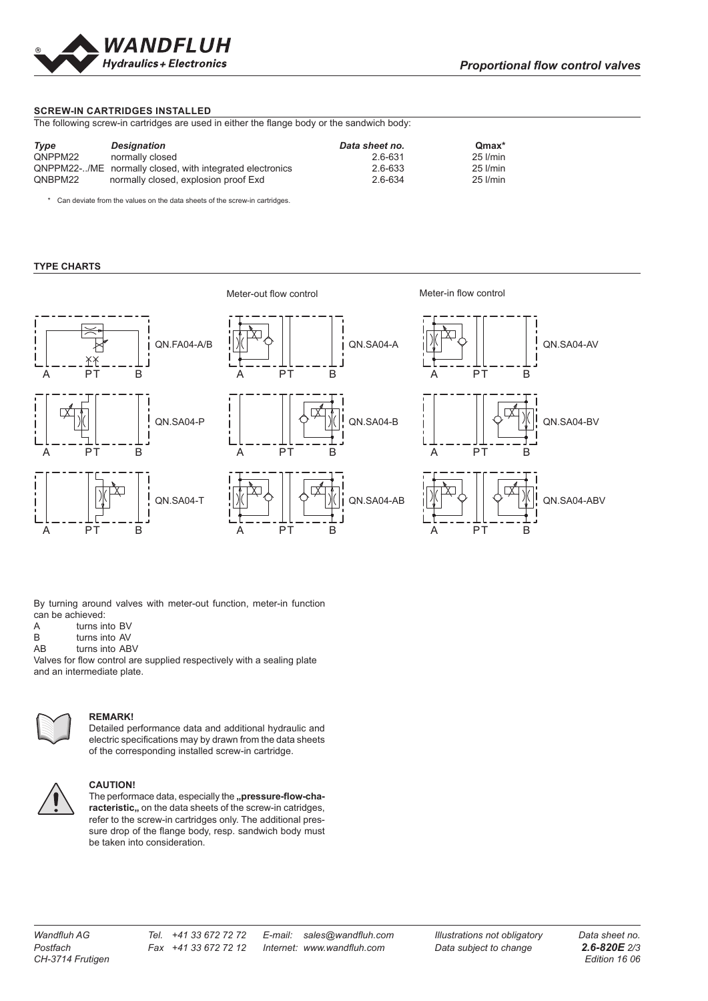

#### **SCREW-IN CARTRIDGES INSTALLED**

The following screw-in cartridges are used in either the flange body or the sandwich body:

| Type    | <b>Designation</b>                                       | Data sheet no. | $Qmax*$  |
|---------|----------------------------------------------------------|----------------|----------|
| QNPPM22 | normally closed                                          | 2.6-631        | 25 l/min |
|         | QNPPM22-/ME normally closed, with integrated electronics | 2.6-633        | 25 l/min |
| QNBPM22 | normally closed, explosion proof Exd                     | 2.6-634        | 25 l/min |

\* Can deviate from the values on the data sheets of the screw-in cartridges.

## **TYPE CHARTS**

R QN.FA04-A/B ХX A PT B QN.SA04-P A PT B QN.SA04-T A PT B



Meter-out flow control Meter-in flow control



By turning around valves with meter-out function, meter-in function can be achieved:

- A turns into BV<br>B turns into AV
- B turns into AV<br>AB turns into AB
- turns into ABV

Valves for flow control are supplied respectively with a sealing plate **10** 19 and an intermediate plate.



#### **REMARK!**

Detailed performance data and additional hydraulic and electric specifications may by drawn from the data sheets of the corresponding installed screw-in cartridge.



#### **CAUTION!**

The performace data, especially the "pressure-flow-characteristic,, on the data sheets of the screw-in catridges, refer to the screw-in cartridges only. The additional pressure drop of the flange body, resp. sandwich body must be taken into consideration.